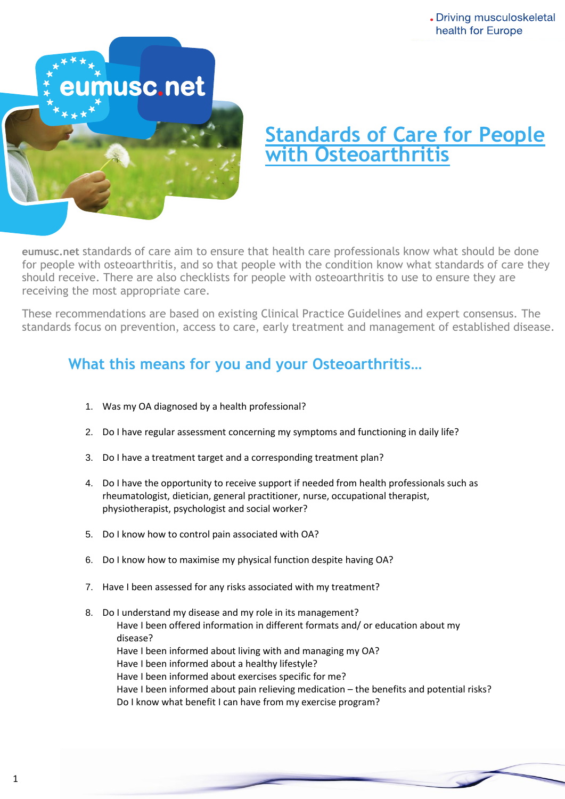

## **Standards of Care for People with Osteoarthritis**

for people with osteoarthritis, and so that people with the condition know what standards of care they should receive. There are also checklists for people with osteoarthritis to use to ensure they are **eumusc.net** standards of care aim to ensure that health care professionals know what should be done receiving the most appropriate care.

These recommendations are based on existing Clinical Practice Guidelines and expert consensus. The standards focus on prevention, access to care, early treatment and management of established disease.

## **What this means for you and your Osteoarthritis…**

- 1. Was my OA diagnosed by a health professional?
- 2. Do I have regular assessment concerning my symptoms and functioning in daily life?
- 3. Do I have a treatment target and a corresponding treatment plan?
- 4. Do I have the opportunity to receive support if needed from health professionals such as rheumatologist, dietician, general practitioner, nurse, occupational therapist, physiotherapist, psychologist and social worker?
- 5. Do I know how to control pain associated with OA?
- 6. Do I know how to maximise my physical function despite having OA?
- 7. Have I been assessed for any risks associated with my treatment?
- 8. Do I understand my disease and my role in its management? Have I been offered information in different formats and/ or education about my disease? Have I been informed about living with and managing my OA? Have I been informed about a healthy lifestyle? Have I been informed about exercises specific for me? Have I been informed about pain relieving medication – the benefits and potential risks? Do I know what benefit I can have from my exercise program?